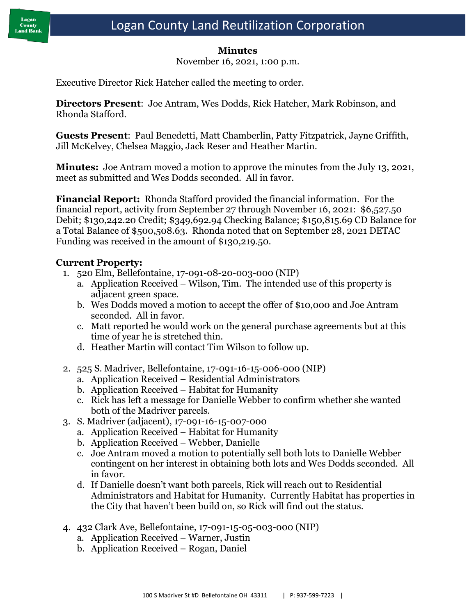### **Minutes**

November 16, 2021, 1:00 p.m.

Executive Director Rick Hatcher called the meeting to order.

**Directors Present**: Joe Antram, Wes Dodds, Rick Hatcher, Mark Robinson, and Rhonda Stafford.

**Guests Present**: Paul Benedetti, Matt Chamberlin, Patty Fitzpatrick, Jayne Griffith, Jill McKelvey, Chelsea Maggio, Jack Reser and Heather Martin.

**Minutes:** Joe Antram moved a motion to approve the minutes from the July 13, 2021, meet as submitted and Wes Dodds seconded. All in favor.

**Financial Report:** Rhonda Stafford provided the financial information. For the financial report, activity from September 27 through November 16, 2021: \$6,527.50 Debit; \$130,242.20 Credit; \$349,692.94 Checking Balance; \$150,815.69 CD Balance for a Total Balance of \$500,508.63. Rhonda noted that on September 28, 2021 DETAC Funding was received in the amount of \$130,219.50.

## **Current Property:**

- 1. 520 Elm, Bellefontaine, 17-091-08-20-003-000 (NIP)
	- a. Application Received Wilson, Tim. The intended use of this property is adjacent green space.
	- b. Wes Dodds moved a motion to accept the offer of \$10,000 and Joe Antram seconded. All in favor.
	- c. Matt reported he would work on the general purchase agreements but at this time of year he is stretched thin.
	- d. Heather Martin will contact Tim Wilson to follow up.
- 2. 525 S. Madriver, Bellefontaine, 17-091-16-15-006-000 (NIP)
	- a. Application Received Residential Administrators
	- b. Application Received Habitat for Humanity
	- c. Rick has left a message for Danielle Webber to confirm whether she wanted both of the Madriver parcels.
- 3. S. Madriver (adjacent), 17-091-16-15-007-000
	- a. Application Received Habitat for Humanity
	- b. Application Received Webber, Danielle
	- c. Joe Antram moved a motion to potentially sell both lots to Danielle Webber contingent on her interest in obtaining both lots and Wes Dodds seconded. All in favor.
	- d. If Danielle doesn't want both parcels, Rick will reach out to Residential Administrators and Habitat for Humanity. Currently Habitat has properties in the City that haven't been build on, so Rick will find out the status.
- 4. 432 Clark Ave, Bellefontaine, 17-091-15-05-003-000 (NIP)
	- a. Application Received Warner, Justin
	- b. Application Received Rogan, Daniel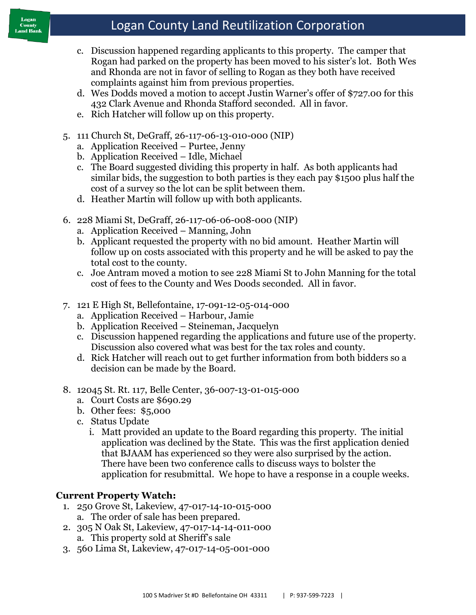# Logan County Land Reutilization Corporation

- c. Discussion happened regarding applicants to this property. The camper that Rogan had parked on the property has been moved to his sister's lot. Both Wes and Rhonda are not in favor of selling to Rogan as they both have received complaints against him from previous properties.
- d. Wes Dodds moved a motion to accept Justin Warner's offer of \$727.00 for this 432 Clark Avenue and Rhonda Stafford seconded. All in favor.
- e. Rich Hatcher will follow up on this property.
- 5. 111 Church St, DeGraff, 26-117-06-13-010-000 (NIP)
	- a. Application Received Purtee, Jenny
	- b. Application Received Idle, Michael
	- c. The Board suggested dividing this property in half. As both applicants had similar bids, the suggestion to both parties is they each pay \$1500 plus half the cost of a survey so the lot can be split between them.
	- d. Heather Martin will follow up with both applicants.
- 6. 228 Miami St, DeGraff, 26-117-06-06-008-000 (NIP)
	- a. Application Received Manning, John
	- b. Applicant requested the property with no bid amount. Heather Martin will follow up on costs associated with this property and he will be asked to pay the total cost to the county.
	- c. Joe Antram moved a motion to see 228 Miami St to John Manning for the total cost of fees to the County and Wes Doods seconded. All in favor.
- 7. 121 E High St, Bellefontaine, 17-091-12-05-014-000
	- a. Application Received Harbour, Jamie
	- b. Application Received Steineman, Jacquelyn
	- c. Discussion happened regarding the applications and future use of the property. Discussion also covered what was best for the tax roles and county.
	- d. Rick Hatcher will reach out to get further information from both bidders so a decision can be made by the Board.
- 8. 12045 St. Rt. 117, Belle Center, 36-007-13-01-015-000
	- a. Court Costs are \$690.29
	- b. Other fees: \$5,000
	- c. Status Update
		- i. Matt provided an update to the Board regarding this property. The initial application was declined by the State. This was the first application denied that BJAAM has experienced so they were also surprised by the action. There have been two conference calls to discuss ways to bolster the application for resubmittal. We hope to have a response in a couple weeks.

## **Current Property Watch:**

- 1. 250 Grove St, Lakeview, 47-017-14-10-015-000
	- a. The order of sale has been prepared.
- 2. 305 N Oak St, Lakeview, 47-017-14-14-011-000 a. This property sold at Sheriff's sale
- 3. 560 Lima St, Lakeview, 47-017-14-05-001-000